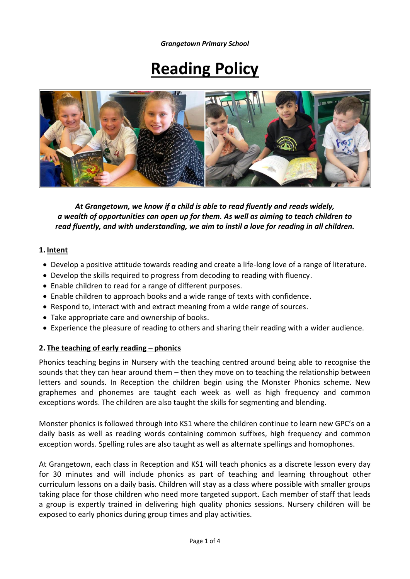*Grangetown Primary School*

# **Reading Policy**



*At Grangetown, we know if a child is able to read fluently and reads widely, a wealth of opportunities can open up for them. As well as aiming to teach children to read fluently, and with understanding, we aim to instil a love for reading in all children.*

#### **1. Intent**

- Develop a positive attitude towards reading and create a life-long love of a range of literature.
- Develop the skills required to progress from decoding to reading with fluency.
- Enable children to read for a range of different purposes.
- Enable children to approach books and a wide range of texts with confidence.
- Respond to, interact with and extract meaning from a wide range of sources.
- Take appropriate care and ownership of books.
- Experience the pleasure of reading to others and sharing their reading with a wider audience.

#### **2. The teaching of early reading – phonics**

Phonics teaching begins in Nursery with the teaching centred around being able to recognise the sounds that they can hear around them – then they move on to teaching the relationship between letters and sounds. In Reception the children begin using the Monster Phonics scheme. New graphemes and phonemes are taught each week as well as high frequency and common exceptions words. The children are also taught the skills for segmenting and blending.

Monster phonics is followed through into KS1 where the children continue to learn new GPC's on a daily basis as well as reading words containing common suffixes, high frequency and common exception words. Spelling rules are also taught as well as alternate spellings and homophones.

At Grangetown, each class in Reception and KS1 will teach phonics as a discrete lesson every day for 30 minutes and will include phonics as part of teaching and learning throughout other curriculum lessons on a daily basis. Children will stay as a class where possible with smaller groups taking place for those children who need more targeted support. Each member of staff that leads a group is expertly trained in delivering high quality phonics sessions. Nursery children will be exposed to early phonics during group times and play activities.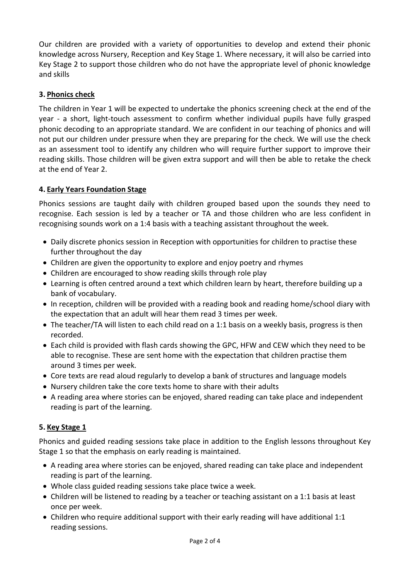Our children are provided with a variety of opportunities to develop and extend their phonic knowledge across Nursery, Reception and Key Stage 1. Where necessary, it will also be carried into Key Stage 2 to support those children who do not have the appropriate level of phonic knowledge and skills

# **3. Phonics check**

The children in Year 1 will be expected to undertake the phonics screening check at the end of the year - a short, light-touch assessment to confirm whether individual pupils have fully grasped phonic decoding to an appropriate standard. We are confident in our teaching of phonics and will not put our children under pressure when they are preparing for the check. We will use the check as an assessment tool to identify any children who will require further support to improve their reading skills. Those children will be given extra support and will then be able to retake the check at the end of Year 2.

# **4. Early Years Foundation Stage**

Phonics sessions are taught daily with children grouped based upon the sounds they need to recognise. Each session is led by a teacher or TA and those children who are less confident in recognising sounds work on a 1:4 basis with a teaching assistant throughout the week.

- Daily discrete phonics session in Reception with opportunities for children to practise these further throughout the day
- Children are given the opportunity to explore and enjoy poetry and rhymes
- Children are encouraged to show reading skills through role play
- Learning is often centred around a text which children learn by heart, therefore building up a bank of vocabulary.
- In reception, children will be provided with a reading book and reading home/school diary with the expectation that an adult will hear them read 3 times per week.
- The teacher/TA will listen to each child read on a 1:1 basis on a weekly basis, progress is then recorded.
- Each child is provided with flash cards showing the GPC, HFW and CEW which they need to be able to recognise. These are sent home with the expectation that children practise them around 3 times per week.
- Core texts are read aloud regularly to develop a bank of structures and language models
- Nursery children take the core texts home to share with their adults
- A reading area where stories can be enjoyed, shared reading can take place and independent reading is part of the learning.

# **5. Key Stage 1**

Phonics and guided reading sessions take place in addition to the English lessons throughout Key Stage 1 so that the emphasis on early reading is maintained.

- A reading area where stories can be enjoyed, shared reading can take place and independent reading is part of the learning.
- Whole class guided reading sessions take place twice a week.
- Children will be listened to reading by a teacher or teaching assistant on a 1:1 basis at least once per week.
- Children who require additional support with their early reading will have additional 1:1 reading sessions.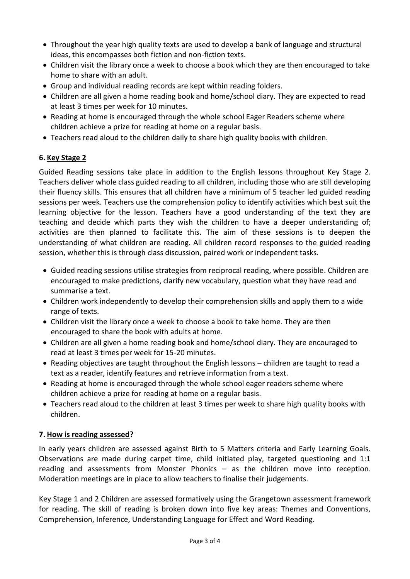- Throughout the year high quality texts are used to develop a bank of language and structural ideas, this encompasses both fiction and non-fiction texts.
- Children visit the library once a week to choose a book which they are then encouraged to take home to share with an adult.
- Group and individual reading records are kept within reading folders.
- Children are all given a home reading book and home/school diary. They are expected to read at least 3 times per week for 10 minutes.
- Reading at home is encouraged through the whole school Eager Readers scheme where children achieve a prize for reading at home on a regular basis.
- Teachers read aloud to the children daily to share high quality books with children.

### **6. Key Stage 2**

Guided Reading sessions take place in addition to the English lessons throughout Key Stage 2. Teachers deliver whole class guided reading to all children, including those who are still developing their fluency skills. This ensures that all children have a minimum of 5 teacher led guided reading sessions per week. Teachers use the comprehension policy to identify activities which best suit the learning objective for the lesson. Teachers have a good understanding of the text they are teaching and decide which parts they wish the children to have a deeper understanding of; activities are then planned to facilitate this. The aim of these sessions is to deepen the understanding of what children are reading. All children record responses to the guided reading session, whether this is through class discussion, paired work or independent tasks.

- Guided reading sessions utilise strategies from reciprocal reading, where possible. Children are encouraged to make predictions, clarify new vocabulary, question what they have read and summarise a text.
- Children work independently to develop their comprehension skills and apply them to a wide range of texts.
- Children visit the library once a week to choose a book to take home. They are then encouraged to share the book with adults at home.
- Children are all given a home reading book and home/school diary. They are encouraged to read at least 3 times per week for 15-20 minutes.
- Reading objectives are taught throughout the English lessons children are taught to read a text as a reader, identify features and retrieve information from a text.
- Reading at home is encouraged through the whole school eager readers scheme where children achieve a prize for reading at home on a regular basis.
- Teachers read aloud to the children at least 3 times per week to share high quality books with children.

# **7. How is reading assessed?**

In early years children are assessed against Birth to 5 Matters criteria and Early Learning Goals. Observations are made during carpet time, child initiated play, targeted questioning and 1:1 reading and assessments from Monster Phonics – as the children move into reception. Moderation meetings are in place to allow teachers to finalise their judgements.

Key Stage 1 and 2 Children are assessed formatively using the Grangetown assessment framework for reading. The skill of reading is broken down into five key areas: Themes and Conventions, Comprehension, Inference, Understanding Language for Effect and Word Reading.